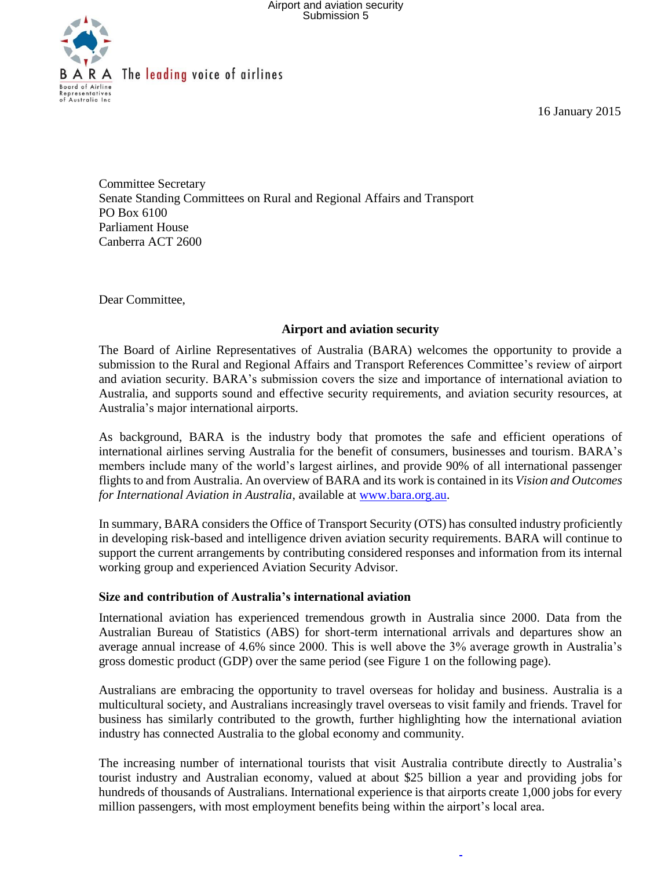

**B** A R A The leading voice of airlines

16 January 2015

Committee Secretary Senate Standing Committees on Rural and Regional Affairs and Transport PO Box 6100 Parliament House Canberra ACT 2600

Dear Committee,

### **Airport and aviation security**

The Board of Airline Representatives of Australia (BARA) welcomes the opportunity to provide a submission to the Rural and Regional Affairs and Transport References Committee's review of airport and aviation security. BARA's submission covers the size and importance of international aviation to Australia, and supports sound and effective security requirements, and aviation security resources, at Australia's major international airports.

As background, BARA is the industry body that promotes the safe and efficient operations of international airlines serving Australia for the benefit of consumers, businesses and tourism. BARA's members include many of the world's largest airlines, and provide 90% of all international passenger flights to and from Australia. An overview of BARA and its work is contained in its *Vision and Outcomes for International Aviation in Australia*, available at [www.bara.org.au.](http://www.bara.org.au/)

In summary, BARA considers the Office of Transport Security (OTS) has consulted industry proficiently in developing risk-based and intelligence driven aviation security requirements. BARA will continue to support the current arrangements by contributing considered responses and information from its internal working group and experienced Aviation Security Advisor.

### **Size and contribution of Australia's international aviation**

International aviation has experienced tremendous growth in Australia since 2000. Data from the Australian Bureau of Statistics (ABS) for short-term international arrivals and departures show an average annual increase of 4.6% since 2000. This is well above the 3% average growth in Australia's gross domestic product (GDP) over the same period (see Figure 1 on the following page).

Australians are embracing the opportunity to travel overseas for holiday and business. Australia is a multicultural society, and Australians increasingly travel overseas to visit family and friends. Travel for business has similarly contributed to the growth, further highlighting how the international aviation industry has connected Australia to the global economy and community.

The increasing number of international tourists that visit Australia contribute directly to Australia's tourist industry and Australian economy, valued at about \$25 billion a year and providing jobs for hundreds of thousands of Australians. International experience is that airports create 1,000 jobs for every million passengers, with most employment benefits being within the airport's local area.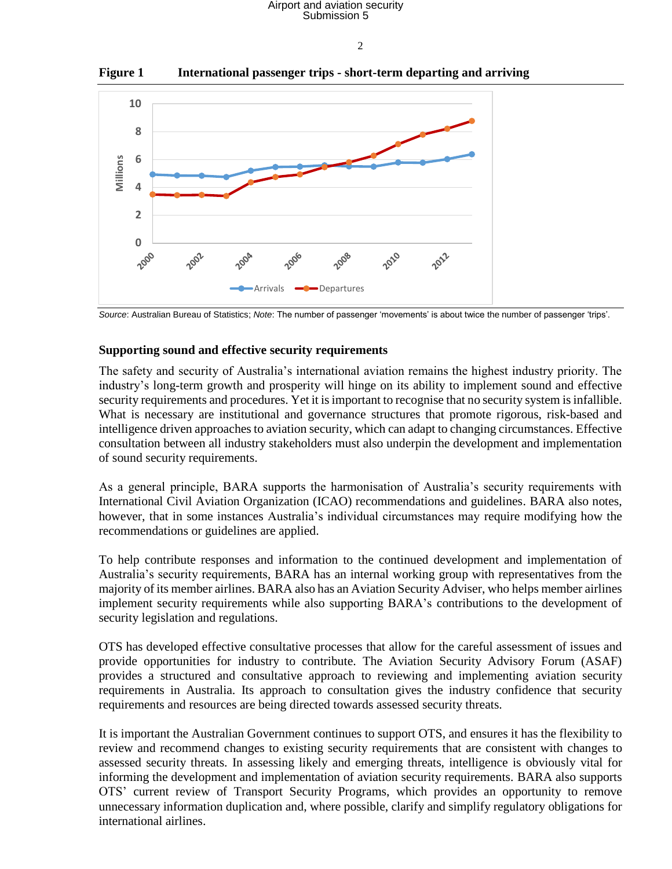# Airport and aviation security Submission 5

 $\mathcal{L}$ 

**Figure 1 International passenger trips - short-term departing and arriving**



*Source*: Australian Bureau of Statistics; *Note*: The number of passenger 'movements' is about twice the number of passenger 'trips'.

# **Supporting sound and effective security requirements**

The safety and security of Australia's international aviation remains the highest industry priority. The industry's long-term growth and prosperity will hinge on its ability to implement sound and effective security requirements and procedures. Yet it is important to recognise that no security system is infallible. What is necessary are institutional and governance structures that promote rigorous, risk-based and intelligence driven approaches to aviation security, which can adapt to changing circumstances. Effective consultation between all industry stakeholders must also underpin the development and implementation of sound security requirements.

As a general principle, BARA supports the harmonisation of Australia's security requirements with International Civil Aviation Organization (ICAO) recommendations and guidelines. BARA also notes, however, that in some instances Australia's individual circumstances may require modifying how the recommendations or guidelines are applied.

To help contribute responses and information to the continued development and implementation of Australia's security requirements, BARA has an internal working group with representatives from the majority of its member airlines. BARA also has an Aviation Security Adviser, who helps member airlines implement security requirements while also supporting BARA's contributions to the development of security legislation and regulations.

OTS has developed effective consultative processes that allow for the careful assessment of issues and provide opportunities for industry to contribute. The Aviation Security Advisory Forum (ASAF) provides a structured and consultative approach to reviewing and implementing aviation security requirements in Australia. Its approach to consultation gives the industry confidence that security requirements and resources are being directed towards assessed security threats.

It is important the Australian Government continues to support OTS, and ensures it has the flexibility to review and recommend changes to existing security requirements that are consistent with changes to assessed security threats. In assessing likely and emerging threats, intelligence is obviously vital for informing the development and implementation of aviation security requirements. BARA also supports OTS' current review of Transport Security Programs, which provides an opportunity to remove unnecessary information duplication and, where possible, clarify and simplify regulatory obligations for international airlines.